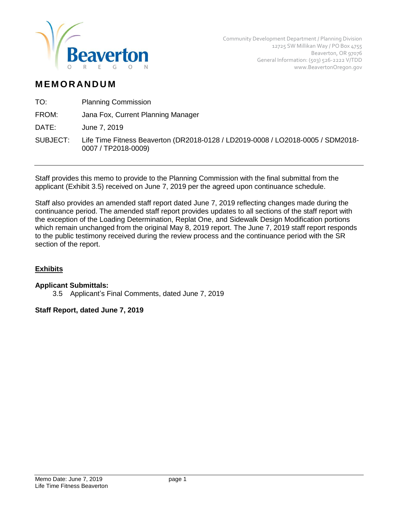

# **M EM O R AN D U M**

TO: Planning Commission

FROM: Jana Fox, Current Planning Manager

DATE: June 7, 2019

SUBJECT: Life Time Fitness Beaverton (DR2018-0128 / LD2019-0008 / LO2018-0005 / SDM2018- 0007 / TP2018-0009)

Staff provides this memo to provide to the Planning Commission with the final submittal from the applicant (Exhibit 3.5) received on June 7, 2019 per the agreed upon continuance schedule.

Staff also provides an amended staff report dated June 7, 2019 reflecting changes made during the continuance period. The amended staff report provides updates to all sections of the staff report with the exception of the Loading Determination, Replat One, and Sidewalk Design Modification portions which remain unchanged from the original May 8, 2019 report. The June 7, 2019 staff report responds to the public testimony received during the review process and the continuance period with the SR section of the report.

# **Exhibits**

# **Applicant Submittals:**

3.5 Applicant's Final Comments, dated June 7, 2019

# **Staff Report, dated June 7, 2019**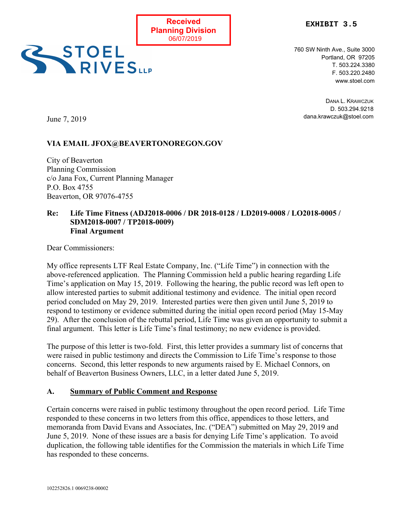



760 SW Ninth Ave., Suite 3000 Portland, OR 97205 T. 503.224.3380 F. 503.220.2480 www.stoel.com

> DANA L. KRAWCZUK D. 503.294.9218 dana.krawczuk@stoel.com

June 7, 2019

# **VIA EMAIL JFOX@BEAVERTONOREGON.GOV**

City of Beaverton Planning Commission c/o Jana Fox, Current Planning Manager P.O. Box 4755 Beaverton, OR 97076-4755

### **Re: Life Time Fitness (ADJ2018-0006 / DR 2018-0128 / LD2019-0008 / LO2018-0005 / SDM2018-0007 / TP2018-0009) Final Argument**

Dear Commissioners:

My office represents LTF Real Estate Company, Inc. ("Life Time") in connection with the above-referenced application. The Planning Commission held a public hearing regarding Life Time's application on May 15, 2019. Following the hearing, the public record was left open to allow interested parties to submit additional testimony and evidence. The initial open record period concluded on May 29, 2019. Interested parties were then given until June 5, 2019 to respond to testimony or evidence submitted during the initial open record period (May 15-May 29). After the conclusion of the rebuttal period, Life Time was given an opportunity to submit a final argument. This letter is Life Time's final testimony; no new evidence is provided.

The purpose of this letter is two-fold. First, this letter provides a summary list of concerns that were raised in public testimony and directs the Commission to Life Time's response to those concerns. Second, this letter responds to new arguments raised by E. Michael Connors, on behalf of Beaverton Business Owners, LLC, in a letter dated June 5, 2019.

### **A. Summary of Public Comment and Response**

Certain concerns were raised in public testimony throughout the open record period. Life Time responded to these concerns in two letters from this office, appendices to those letters, and memoranda from David Evans and Associates, Inc. ("DEA") submitted on May 29, 2019 and June 5, 2019. None of these issues are a basis for denying Life Time's application. To avoid duplication, the following table identifies for the Commission the materials in which Life Time has responded to these concerns.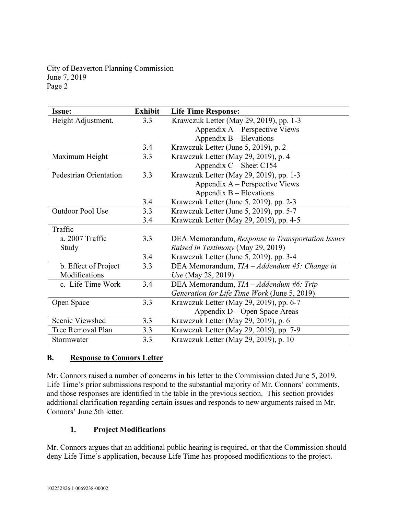| <b>Issue:</b>          | <b>Exhibit</b> | <b>Life Time Response:</b>                        |
|------------------------|----------------|---------------------------------------------------|
| Height Adjustment.     | 3.3            | Krawczuk Letter (May 29, 2019), pp. 1-3           |
|                        |                | Appendix A – Perspective Views                    |
|                        |                | Appendix $B - Elevations$                         |
|                        | 3.4            | Krawczuk Letter (June 5, 2019), p. 2              |
| Maximum Height         | 3.3            | Krawczuk Letter (May 29, 2019), p. 4              |
|                        |                | Appendix $C -$ Sheet C154                         |
| Pedestrian Orientation | 3.3            | Krawczuk Letter (May 29, 2019), pp. 1-3           |
|                        |                | Appendix $A$ – Perspective Views                  |
|                        |                | Appendix B – Elevations                           |
|                        | 3.4            | Krawczuk Letter (June 5, 2019), pp. 2-3           |
| Outdoor Pool Use       | 3.3            | Krawczuk Letter (June 5, 2019), pp. 5-7           |
|                        | 3.4            | Krawczuk Letter (May 29, 2019), pp. 4-5           |
| Traffic                |                |                                                   |
| a. 2007 Traffic        | 3.3            | DEA Memorandum, Response to Transportation Issues |
| Study                  |                | Raised in Testimony (May 29, 2019)                |
|                        | 3.4            | Krawczuk Letter (June 5, 2019), pp. 3-4           |
| b. Effect of Project   | 3.3            | DEA Memorandum, $TIA - Addendum$ #5: Change in    |
| Modifications          |                | <i>Use</i> (May 28, 2019)                         |
| c. Life Time Work      | 3.4            | DEA Memorandum, TIA - Addendum #6: Trip           |
|                        |                | Generation for Life Time Work (June 5, 2019)      |
| Open Space             | 3.3            | Krawczuk Letter (May 29, 2019), pp. 6-7           |
|                        |                | Appendix D – Open Space Areas                     |
| Scenic Viewshed        | 3.3            | Krawczuk Letter (May 29, 2019), p. 6              |
| Tree Removal Plan      | 3.3            | Krawczuk Letter (May 29, 2019), pp. 7-9           |
| Stormwater             | 3.3            | Krawczuk Letter (May 29, 2019), p. 10             |

### **B. Response to Connors Letter**

Mr. Connors raised a number of concerns in his letter to the Commission dated June 5, 2019. Life Time's prior submissions respond to the substantial majority of Mr. Connors' comments, and those responses are identified in the table in the previous section. This section provides additional clarification regarding certain issues and responds to new arguments raised in Mr. Connors' June 5th letter.

### **1. Project Modifications**

Mr. Connors argues that an additional public hearing is required, or that the Commission should deny Life Time's application, because Life Time has proposed modifications to the project.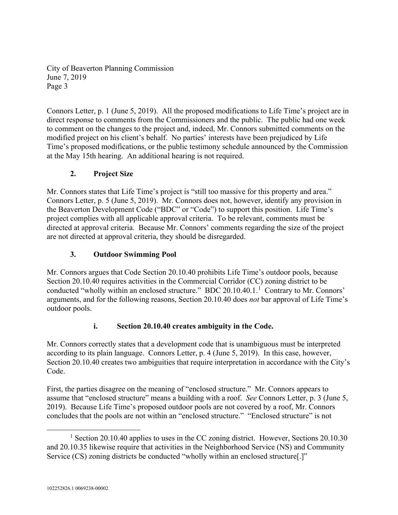Connors Letter, p. 1 (June 5, 2019). All the proposed modifications to Life Time's project are in direct response to comments from the Commissioners and the public. The public had one week to comment on the changes to the project and, indeed, Mr. Connors submitted comments on the modified project on his client's behalf. No parties' interests have been prejudiced by Life Time's proposed modifications, or the public testimony schedule announced by the Commission at the May 15th hearing. An additional hearing is not required.

# **2. Project Size**

Mr. Connors states that Life Time's project is "still too massive for this property and area." Connors Letter, p. 5 (June 5, 2019). Mr. Connors does not, however, identify any provision in the Beaverton Development Code ("BDC" or "Code") to support this position. Life Time's project complies with all applicable approval criteria. To be relevant, comments must be directed at approval criteria. Because Mr. Connors' comments regarding the size of the project are not directed at approval criteria, they should be disregarded.

# **3. Outdoor Swimming Pool**

Mr. Connors argues that Code Section 20.10.40 prohibits Life Time's outdoor pools, because Section 20.10.40 requires activities in the Commercial Corridor (CC) zoning district to be conducted "wholly within an enclosed structure." BDC 20.[1](#page-3-0)0.40.1.<sup>1</sup> Contrary to Mr. Connors' arguments, and for the following reasons, Section 20.10.40 does *not* bar approval of Life Time's outdoor pools.

# **i. Section 20.10.40 creates ambiguity in the Code.**

Mr. Connors correctly states that a development code that is unambiguous must be interpreted according to its plain language. Connors Letter, p. 4 (June 5, 2019). In this case, however, Section 20.10.40 creates two ambiguities that require interpretation in accordance with the City's Code.

First, the parties disagree on the meaning of "enclosed structure." Mr. Connors appears to assume that "enclosed structure" means a building with a roof. *See* Connors Letter, p. 3 (June 5, 2019). Because Life Time's proposed outdoor pools are not covered by a roof, Mr. Connors concludes that the pools are not within an "enclosed structure." "Enclosed structure" is not

<span id="page-3-0"></span><sup>&</sup>lt;sup>1</sup> Section 20.10.40 applies to uses in the CC zoning district. However, Sections 20.10.30 and 20.10.35 likewise require that activities in the Neighborhood Service (NS) and Community Service (CS) zoning districts be conducted "wholly within an enclosed structure[.]"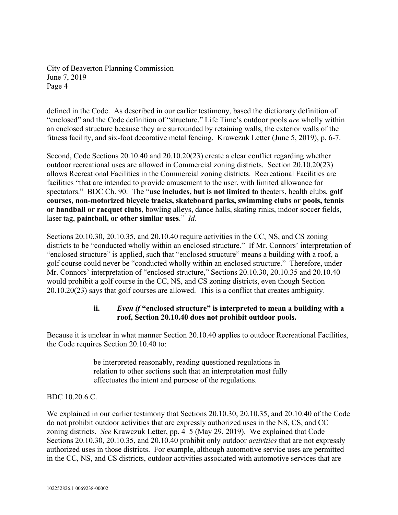defined in the Code. As described in our earlier testimony, based the dictionary definition of "enclosed" and the Code definition of "structure," Life Time's outdoor pools *are* wholly within an enclosed structure because they are surrounded by retaining walls, the exterior walls of the fitness facility, and six-foot decorative metal fencing. Krawczuk Letter (June 5, 2019), p. 6-7.

Second, Code Sections 20.10.40 and 20.10.20(23) create a clear conflict regarding whether outdoor recreational uses are allowed in Commercial zoning districts. Section 20.10.20(23) allows Recreational Facilities in the Commercial zoning districts. Recreational Facilities are facilities "that are intended to provide amusement to the user, with limited allowance for spectators." BDC Ch. 90. The "**use includes, but is not limited to** theaters, health clubs, **golf courses, non-motorized bicycle tracks, skateboard parks, swimming clubs or pools, tennis or handball or racquet clubs**, bowling alleys, dance halls, skating rinks, indoor soccer fields, laser tag, **paintball, or other similar uses**." *Id.*

Sections 20.10.30, 20.10.35, and 20.10.40 require activities in the CC, NS, and CS zoning districts to be "conducted wholly within an enclosed structure." If Mr. Connors' interpretation of "enclosed structure" is applied, such that "enclosed structure" means a building with a roof, a golf course could never be "conducted wholly within an enclosed structure." Therefore, under Mr. Connors' interpretation of "enclosed structure," Sections 20.10.30, 20.10.35 and 20.10.40 would prohibit a golf course in the CC, NS, and CS zoning districts, even though Section 20.10.20(23) says that golf courses are allowed. This is a conflict that creates ambiguity.

# **ii.** *Even if* **"enclosed structure" is interpreted to mean a building with a roof, Section 20.10.40 does not prohibit outdoor pools.**

Because it is unclear in what manner Section 20.10.40 applies to outdoor Recreational Facilities, the Code requires Section 20.10.40 to:

> be interpreted reasonably, reading questioned regulations in relation to other sections such that an interpretation most fully effectuates the intent and purpose of the regulations.

# BDC 10.20.6.C.

We explained in our earlier testimony that Sections 20.10.30, 20.10.35, and 20.10.40 of the Code do not prohibit outdoor activities that are expressly authorized uses in the NS, CS, and CC zoning districts. *See* Krawczuk Letter, pp. 4–5 (May 29, 2019). We explained that Code Sections 20.10.30, 20.10.35, and 20.10.40 prohibit only outdoor *activities* that are not expressly authorized uses in those districts. For example, although automotive service uses are permitted in the CC, NS, and CS districts, outdoor activities associated with automotive services that are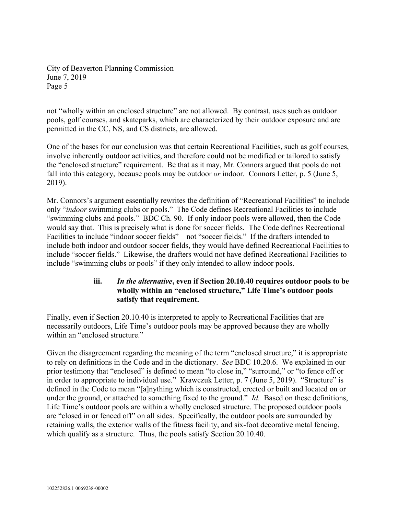not "wholly within an enclosed structure" are not allowed. By contrast, uses such as outdoor pools, golf courses, and skateparks, which are characterized by their outdoor exposure and are permitted in the CC, NS, and CS districts, are allowed.

One of the bases for our conclusion was that certain Recreational Facilities, such as golf courses, involve inherently outdoor activities, and therefore could not be modified or tailored to satisfy the "enclosed structure" requirement. Be that as it may, Mr. Connors argued that pools do not fall into this category, because pools may be outdoor *or* indoor. Connors Letter, p. 5 (June 5, 2019).

Mr. Connors's argument essentially rewrites the definition of "Recreational Facilities" to include only "*indoor* swimming clubs or pools." The Code defines Recreational Facilities to include "swimming clubs and pools." BDC Ch. 90. If only indoor pools were allowed, then the Code would say that. This is precisely what is done for soccer fields. The Code defines Recreational Facilities to include "indoor soccer fields"—not "soccer fields." If the drafters intended to include both indoor and outdoor soccer fields, they would have defined Recreational Facilities to include "soccer fields." Likewise, the drafters would not have defined Recreational Facilities to include "swimming clubs or pools" if they only intended to allow indoor pools.

# **iii.** *In the alternative***, even if Section 20.10.40 requires outdoor pools to be wholly within an "enclosed structure," Life Time's outdoor pools satisfy that requirement.**

Finally, even if Section 20.10.40 is interpreted to apply to Recreational Facilities that are necessarily outdoors, Life Time's outdoor pools may be approved because they are wholly within an "enclosed structure."

Given the disagreement regarding the meaning of the term "enclosed structure," it is appropriate to rely on definitions in the Code and in the dictionary. *See* BDC 10.20.6. We explained in our prior testimony that "enclosed" is defined to mean "to close in," "surround," or "to fence off or in order to appropriate to individual use." Krawczuk Letter, p. 7 (June 5, 2019). "Structure" is defined in the Code to mean "[a]nything which is constructed, erected or built and located on or under the ground, or attached to something fixed to the ground." *Id.* Based on these definitions, Life Time's outdoor pools are within a wholly enclosed structure. The proposed outdoor pools are "closed in or fenced off" on all sides. Specifically, the outdoor pools are surrounded by retaining walls, the exterior walls of the fitness facility, and six-foot decorative metal fencing, which qualify as a structure. Thus, the pools satisfy Section 20.10.40.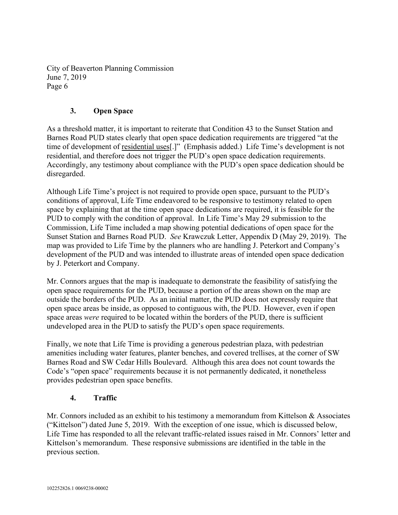### **3. Open Space**

As a threshold matter, it is important to reiterate that Condition 43 to the Sunset Station and Barnes Road PUD states clearly that open space dedication requirements are triggered "at the time of development of residential uses[.]" (Emphasis added.) Life Time's development is not residential, and therefore does not trigger the PUD's open space dedication requirements. Accordingly, any testimony about compliance with the PUD's open space dedication should be disregarded.

Although Life Time's project is not required to provide open space, pursuant to the PUD's conditions of approval, Life Time endeavored to be responsive to testimony related to open space by explaining that at the time open space dedications are required, it is feasible for the PUD to comply with the condition of approval. In Life Time's May 29 submission to the Commission, Life Time included a map showing potential dedications of open space for the Sunset Station and Barnes Road PUD. *See* Krawczuk Letter, Appendix D (May 29, 2019). The map was provided to Life Time by the planners who are handling J. Peterkort and Company's development of the PUD and was intended to illustrate areas of intended open space dedication by J. Peterkort and Company.

Mr. Connors argues that the map is inadequate to demonstrate the feasibility of satisfying the open space requirements for the PUD, because a portion of the areas shown on the map are outside the borders of the PUD. As an initial matter, the PUD does not expressly require that open space areas be inside, as opposed to contiguous with, the PUD. However, even if open space areas *were* required to be located within the borders of the PUD, there is sufficient undeveloped area in the PUD to satisfy the PUD's open space requirements.

Finally, we note that Life Time is providing a generous pedestrian plaza, with pedestrian amenities including water features, planter benches, and covered trellises, at the corner of SW Barnes Road and SW Cedar Hills Boulevard. Although this area does not count towards the Code's "open space" requirements because it is not permanently dedicated, it nonetheless provides pedestrian open space benefits.

### **4. Traffic**

Mr. Connors included as an exhibit to his testimony a memorandum from Kittelson & Associates ("Kittelson") dated June 5, 2019. With the exception of one issue, which is discussed below, Life Time has responded to all the relevant traffic-related issues raised in Mr. Connors' letter and Kittelson's memorandum. These responsive submissions are identified in the table in the previous section.